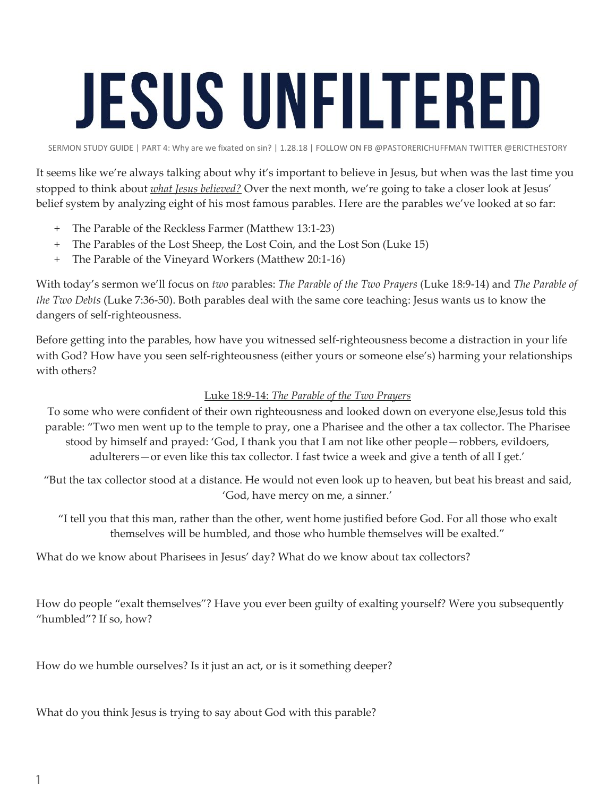## **JESUS UNFILTERED**

SERMON STUDY GUIDE | PART 4: Why are we fixated on sin? | 1.28.18 | FOLLOW ON FB @PASTORERICHUFFMAN TWITTER @ERICTHESTORY

It seems like we're always talking about why it's important to believe in Jesus, but when was the last time you stopped to think about *what Jesus believed?* Over the next month, we're going to take a closer look at Jesus' belief system by analyzing eight of his most famous parables. Here are the parables we've looked at so far:

- + The Parable of the Reckless Farmer (Matthew 13:1-23)
- + The Parables of the Lost Sheep, the Lost Coin, and the Lost Son (Luke 15)
- + The Parable of the Vineyard Workers (Matthew 20:1-16)

With today's sermon we'll focus on *two* parables: *The Parable of the Two Prayers* (Luke 18:9-14) and *The Parable of the Two Debts* (Luke 7:36-50). Both parables deal with the same core teaching: Jesus wants us to know the dangers of self-righteousness.

Before getting into the parables, how have you witnessed self-righteousness become a distraction in your life with God? How have you seen self-righteousness (either yours or someone else's) harming your relationships with others?

## Luke 18:9-14: *The Parable of the Two Prayers*

To some who were confident of their own righteousness and looked down on everyone else,Jesus told this parable: "Two men went up to the temple to pray, one a Pharisee and the other a tax collector. The Pharisee stood by himself and prayed: 'God, I thank you that I am not like other people—robbers, evildoers, adulterers—or even like this tax collector. I fast twice a week and give a tenth of all I get.'

"But the tax collector stood at a distance. He would not even look up to heaven, but beat his breast and said, 'God, have mercy on me, a sinner.'

"I tell you that this man, rather than the other, went home justified before God. For all those who exalt themselves will be humbled, and those who humble themselves will be exalted."

What do we know about Pharisees in Jesus' day? What do we know about tax collectors?

How do people "exalt themselves"? Have you ever been guilty of exalting yourself? Were you subsequently "humbled"? If so, how?

How do we humble ourselves? Is it just an act, or is it something deeper?

What do you think Jesus is trying to say about God with this parable?